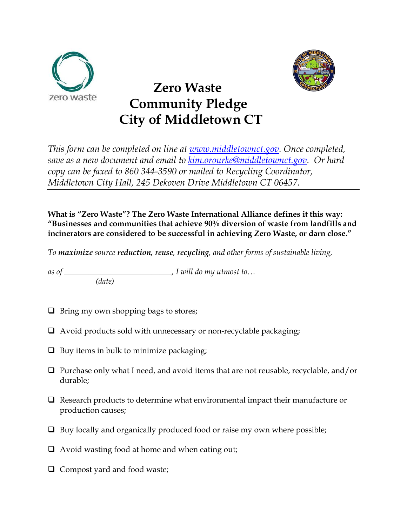



## **Zero Waste Community Pledge City of Middletown CT**

*This form can be completed on line at [www.middletownct.gov.](http://www.middletownct.gov/) Once completed, save as a new document and email to [kim.orourke@middletownct.gov.](mailto:kim.orourke@middletownct.gov) Or hard copy can be faxed to 860 344-3590 or mailed to Recycling Coordinator, Middletown City Hall, 245 Dekoven Drive Middletown CT 06457.* 

**What is "Zero Waste"? The Zero Waste International Alliance defines it this way: "Businesses and communities that achieve 90% diversion of waste from landfills and incinerators are considered to be successful in achieving Zero Waste, or darn close."** 

*To maximize source reduction, reuse, recycling, and other forms of sustainable living,* 

*as of \_\_\_\_\_\_\_\_\_\_\_\_\_\_\_\_\_\_\_\_\_\_\_\_\_\_\_, I will do my utmost to… (date)*

- $\Box$  Bring my own shopping bags to stores;
- Avoid products sold with unnecessary or non-recyclable packaging;
- $\Box$  Buy items in bulk to minimize packaging;
- $\Box$  Purchase only what I need, and avoid items that are not reusable, recyclable, and/or durable;
- $\Box$  Research products to determine what environmental impact their manufacture or production causes;
- $\Box$  Buy locally and organically produced food or raise my own where possible;
- $\Box$  Avoid wasting food at home and when eating out;
- $\Box$  Compost yard and food waste;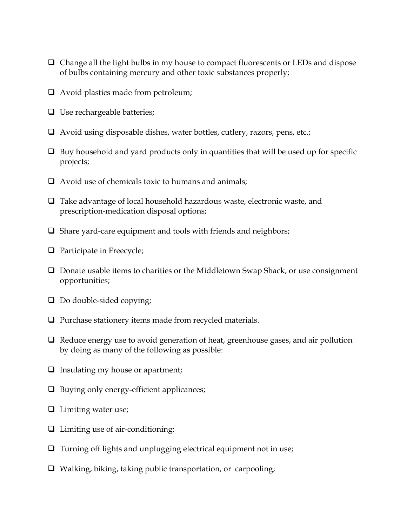- $\Box$  Change all the light bulbs in my house to compact fluorescents or LEDs and dispose of bulbs containing mercury and other toxic substances properly;
- $\Box$  Avoid plastics made from petroleum;
- $\Box$  Use rechargeable batteries;
- $\Box$  Avoid using disposable dishes, water bottles, cutlery, razors, pens, etc.;
- $\Box$  Buy household and yard products only in quantities that will be used up for specific projects;
- $\Box$  Avoid use of chemicals toxic to humans and animals;
- $\Box$  Take advantage of local household hazardous waste, electronic waste, and prescription-medication disposal options;
- $\Box$  Share yard-care equipment and tools with friends and neighbors;
- **Q** Participate in Freecycle;
- $\Box$  Donate usable items to charities or the Middletown Swap Shack, or use consignment opportunities;
- $\Box$  Do double-sided copying;
- $\Box$  Purchase stationery items made from recycled materials.
- $\Box$  Reduce energy use to avoid generation of heat, greenhouse gases, and air pollution by doing as many of the following as possible:
- $\Box$  Insulating my house or apartment;
- $\Box$  Buying only energy-efficient applicances;
- **Limiting water use;**
- $\Box$  Limiting use of air-conditioning;
- $\Box$  Turning off lights and unplugging electrical equipment not in use;
- $\Box$  Walking, biking, taking public transportation, or carpooling;